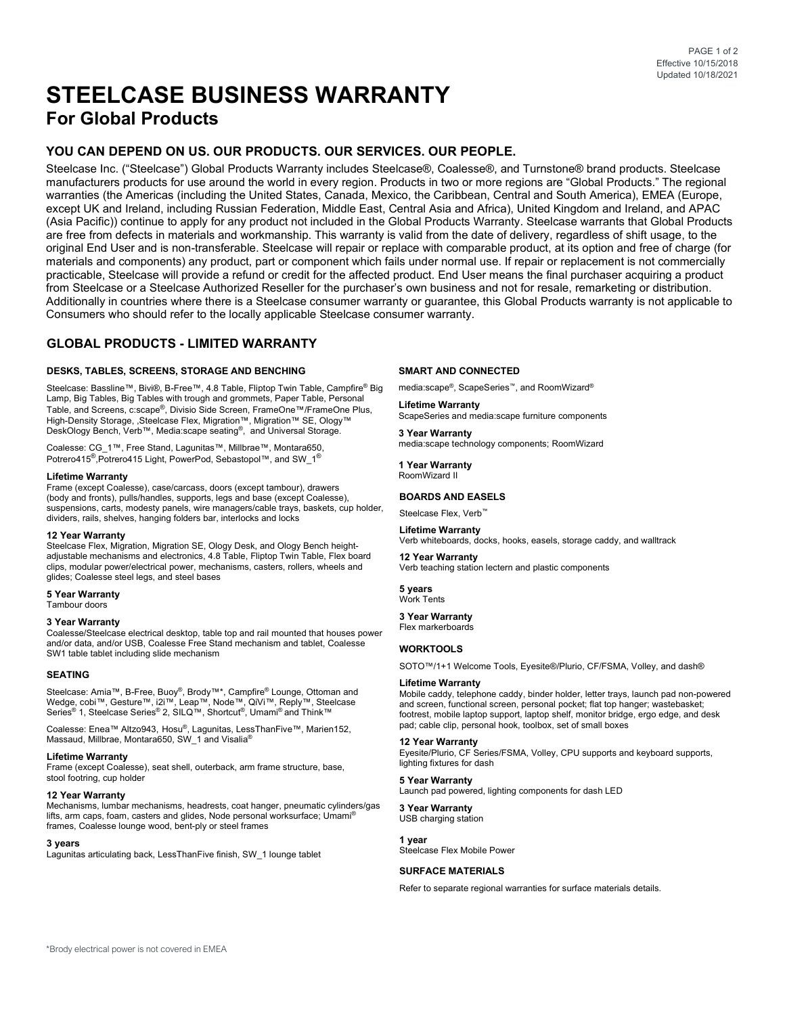# **STEELCASE BUSINESS WARRANTY For Global Products**

# **YOU CAN DEPEND ON US. OUR PRODUCTS. OUR SERVICES. OUR PEOPLE.**

Steelcase Inc. ("Steelcase") Global Products Warranty includes Steelcase®, Coalesse®, and Turnstone® brand products. Steelcase manufacturers products for use around the world in every region. Products in two or more regions are "Global Products." The regional warranties (the Americas (including the United States, Canada, Mexico, the Caribbean, Central and South America), EMEA (Europe, except UK and Ireland, including Russian Federation, Middle East, Central Asia and Africa), United Kingdom and Ireland, and APAC (Asia Pacific)) continue to apply for any product not included in the Global Products Warranty. Steelcase warrants that Global Products are free from defects in materials and workmanship. This warranty is valid from the date of delivery, regardless of shift usage, to the original End User and is non-transferable. Steelcase will repair or replace with comparable product, at its option and free of charge (for materials and components) any product, part or component which fails under normal use. If repair or replacement is not commercially practicable, Steelcase will provide a refund or credit for the affected product. End User means the final purchaser acquiring a product from Steelcase or a Steelcase Authorized Reseller for the purchaser's own business and not for resale, remarketing or distribution. Additionally in countries where there is a Steelcase consumer warranty or guarantee, this Global Products warranty is not applicable to Consumers who should refer to the locally applicable Steelcase consumer warranty.

# **GLOBAL PRODUCTS - LIMITED WARRANTY**

# **DESKS, TABLES, SCREENS, STORAGE AND BENCHING**

Steelcase: Bassline™, Bivi®, B-Free™, 4.8 Table, Fliptop Twin Table, Campfire® Big Lamp, Big Tables, Big Tables with trough and grommets, Paper Table, Personal Table, and Screens, c:scape®, Divisio Side Screen, FrameOne™/FrameOne Plus, High-Density Storage, ,Steelcase Flex, Migration™, Migration™ SE, Ology™<br>DeskOlogy Bench, Verb™, Media:scape seating®, and Universal Storage.

Coalesse: CG\_1™, Free Stand, Lagunitas™, Millbrae™, Montara650, Potrero415<sup>®</sup>,Potrero415 Light, PowerPod, Sebastopol™, and SW\_1<sup>®</sup>

#### **Lifetime Warranty**

Frame (except Coalesse), case/carcass, doors (except tambour), drawers (body and fronts), pulls/handles, supports, legs and base (except Coalesse), suspensions, carts, modesty panels, wire managers/cable trays, baskets, cup holder, dividers, rails, shelves, hanging folders bar, interlocks and locks

# **12 Year Warranty**

Steelcase Flex, Migration, Migration SE, Ology Desk, and Ology Bench heightadjustable mechanisms and electronics, 4.8 Table, Fliptop Twin Table, Flex board clips, modular power/electrical power, mechanisms, casters, rollers, wheels and glides; Coalesse steel legs, and steel bases

**5 Year Warranty**

# Tambour doors

# **3 Year Warranty**

Coalesse/Steelcase electrical desktop, table top and rail mounted that houses power and/or data, and/or USB, Coalesse Free Stand mechanism and tablet, Coalesse SW1 table tablet including slide mechanism

# **SEATING**

Steelcase: Amia™, B-Free, Buoy®, Brody™\*, Campfire® Lounge, Ottoman and Wedge, cobi™, Gesture™, i2i™, Leap™, Node™, QiVi™, Reply™, Steelcase<br>Series® 1, Steelcase Series® 2, SILQ™, Shortcut®, Umami® and Think™

Coalesse: Enea™ Altzo943, Hosu®, Lagunitas, LessThanFive™, Marien152, Massaud, Millbrae, Montara650, SW\_1 and Visalia®

#### **Lifetime Warranty**

Frame (except Coalesse), seat shell, outerback, arm frame structure, base, stool footring, cup holder

# **12 Year Warranty**

Mechanisms, lumbar mechanisms, headrests, coat hanger, pneumatic cylinders/gas lifts, arm caps, foam, casters and glides, Node personal worksurface; Umami® frames, Coalesse lounge wood, bent-ply or steel frames

#### **3 years**

Lagunitas articulating back, LessThanFive finish, SW\_1 lounge tablet

#### **SMART AND CONNECTED**

media:scape®, ScapeSeries™, and RoomWizard®

**Lifetime Warranty** ScapeSeries and media:scape furniture components

**3 Year Warranty** media:scape technology components; RoomWizard

**1 Year Warranty** RoomWizard II

# **BOARDS AND EASELS**

Steelcase Flex, Verb<sup>™</sup>

**Lifetime Warranty** Verb whiteboards, docks, hooks, easels, storage caddy, and walltrack

**12 Year Warranty** Verb teaching station lectern and plastic components

**5 years** Work Tents

# **3 Year Warranty**

Flex markerboards

# **WORKTOOLS**

SOTO™/1+1 Welcome Tools, Eyesite®/Plurio, CF/FSMA, Volley, and dash®

#### **Lifetime Warranty**

Mobile caddy, telephone caddy, binder holder, letter trays, launch pad non-powered and screen, functional screen, personal pocket; flat top hanger; wastebasket; footrest, mobile laptop support, laptop shelf, monitor bridge, ergo edge, and desk pad; cable clip, personal hook, toolbox, set of small boxes

#### **12 Year Warranty**

Eyesite/Plurio, CF Series/FSMA, Volley, CPU supports and keyboard supports, lighting fixtures for dash

#### **5 Year Warranty**

Launch pad powered, lighting components for dash LED

**3 Year Warranty** USB charging station

**1 year** Steelcase Flex Mobile Power

# **SURFACE MATERIALS**

Refer to separate regional warranties for surface materials details.